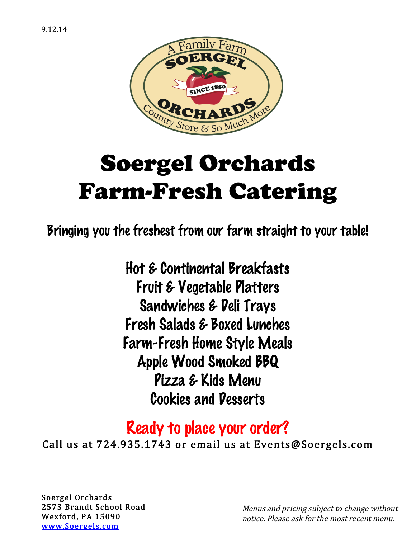

# Soergel Orchards Farm-Fresh Catering

Bringing you the freshest from our farm straight to your table!

Hot & Continental Breakfasts Fruit & Vegetable Platters Sandwiches & Deli Trays Fresh Salads & Boxed Lunches Farm-Fresh Home Style Meals Apple Wood Smoked BBQ Pizza & Kids Menu Cookies and Desserts

# Ready to place your order?

Call us at 724.935.1743 or email us at Events@Soergels.com

Soergel Orchards 2573 Brandt School Road Wexford, PA 15090 www.Soergels.com

Menus and pricing subject to change without notice. Please ask for the most recent menu.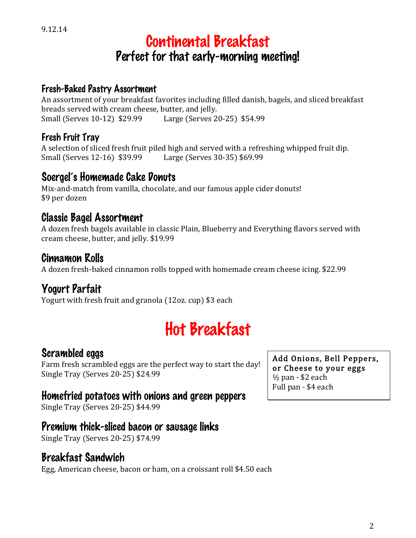# Continental Breakfast Perfect for that early-morning meeting!

#### Fresh-Baked Pastry Assortment

An assortment of your breakfast favorites including filled danish, bagels, and sliced breakfast breads served with cream cheese, butter, and jelly. Small (Serves 10-12) \$29.99 Large (Serves 20-25) \$54.99

#### Fresh Fruit Tray

A selection of sliced fresh fruit piled high and served with a refreshing whipped fruit dip. Small (Serves 12-16) \$39.99 Large (Serves 30-35) \$69.99

#### Soergel's Homemade Cake Donuts

Mix-and-match from vanilla, chocolate, and our famous apple cider donuts! \$9 per dozen

#### Classic Bagel Assortment

A dozen fresh bagels available in classic Plain, Blueberry and Everything flavors served with cream cheese, butter, and jelly. \$19.99

#### Cinnamon Rolls

A dozen fresh-baked cinnamon rolls topped with homemade cream cheese icing. \$22.99

### Yogurt Parfait

Yogurt with fresh fruit and granola (12oz. cup) \$3 each

# Hot Breakfast

#### Scrambled eggs

Farm fresh scrambled eggs are the perfect way to start the day! Single Tray (Serves 20-25) \$24.99

#### Homefried potatoes with onions and green peppers

Single Tray (Serves 20-25) \$44.99

#### Premium thick-sliced bacon or sausage links

Single Tray (Serves 20-25) \$74.99

#### Breakfast Sandwich

Egg, American cheese, bacon or ham, on a croissant roll \$4.50 each

Add Onions, Bell Peppers, or Cheese to your eggs ½ pan - \$2 each Full pan - \$4 each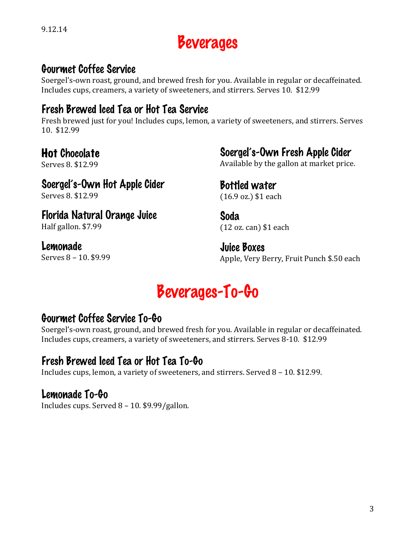3

9.12.14

# Beverages

#### Gourmet Coffee Service

Soergel's-own roast, ground, and brewed fresh for you. Available in regular or decaffeinated. Includes cups, creamers, a variety of sweeteners, and stirrers. Serves 10. \$12.99

### Fresh Brewed Iced Tea or Hot Tea Service

Fresh brewed just for you! Includes cups, lemon, a variety of sweeteners, and stirrers. Serves 10. \$12.99

### Hot Chocolate

Serves 8. \$12.99

### Soergel's-Own Hot Apple Cider

Serves 8. \$12.99

Florida Natural Orange Juice Half gallon. \$7.99

Lemonade

Serves 8 – 10. \$9.99

Soergel's-Own Fresh Apple Cider

Available by the gallon at market price.

#### Bottled water (16.9 oz.) \$1 each

Soda (12 oz. can) \$1 each

Juice Boxes Apple, Very Berry, Fruit Punch \$.50 each

# Beverages-To-Go

# Gourmet Coffee Service To-Go

Soergel's-own roast, ground, and brewed fresh for you. Available in regular or decaffeinated. Includes cups, creamers, a variety of sweeteners, and stirrers. Serves 8-10. \$12.99

### Fresh Brewed Iced Tea or Hot Tea To-Go

Includes cups, lemon, a variety of sweeteners, and stirrers. Served 8 – 10. \$12.99.

### Lemonade To-Go

Includes cups. Served 8 – 10. \$9.99/gallon.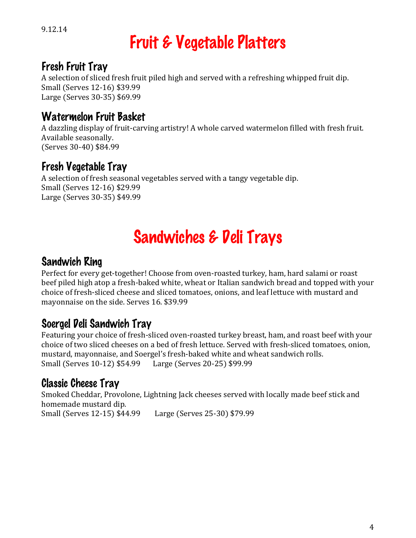# Fruit & Vegetable Platters

### Fresh Fruit Tray

A selection of sliced fresh fruit piled high and served with a refreshing whipped fruit dip. Small (Serves 12-16) \$39.99 Large (Serves 30-35) \$69.99

# Watermelon Fruit Basket

A dazzling display of fruit-carving artistry! A whole carved watermelon filled with fresh fruit. Available seasonally. (Serves 30-40) \$84.99

# Fresh Vegetable Tray

A selection of fresh seasonal vegetables served with a tangy vegetable dip. Small (Serves 12-16) \$29.99 Large (Serves 30-35) \$49.99

# Sandwiches & Deli Trays

#### Sandwich Ring

Perfect for every get-together! Choose from oven-roasted turkey, ham, hard salami or roast beef piled high atop a fresh-baked white, wheat or Italian sandwich bread and topped with your choice of fresh-sliced cheese and sliced tomatoes, onions, and leaf lettuce with mustard and mayonnaise on the side. Serves 16. \$39.99

# Soergel Deli Sandwich Tray

Featuring your choice of fresh-sliced oven-roasted turkey breast, ham, and roast beef with your choice of two sliced cheeses on a bed of fresh lettuce. Served with fresh-sliced tomatoes, onion, mustard, mayonnaise, and Soergel's fresh-baked white and wheat sandwich rolls. Small (Serves 10-12) \$54.99 Large (Serves 20-25) \$99.99

### Classic Cheese Tray

Smoked Cheddar, Provolone, Lightning Jack cheeses served with locally made beef stick and homemade mustard dip. Small (Serves 12-15) \$44.99 Large (Serves 25-30) \$79.99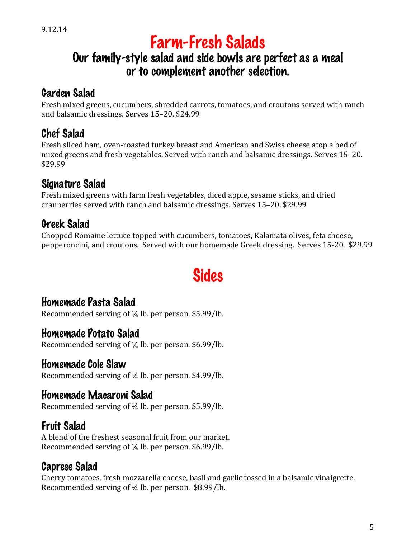# Farm-Fresh Salads

# Our family-style salad and side bowls are perfect as a meal or to complement another selection.

# Garden Salad

Fresh mixed greens, cucumbers, shredded carrots, tomatoes, and croutons served with ranch and balsamic dressings. Serves 15–20. \$24.99

# Chef Salad

Fresh sliced ham, oven-roasted turkey breast and American and Swiss cheese atop a bed of mixed greens and fresh vegetables. Served with ranch and balsamic dressings. Serves 15–20. \$29.99

# Signature Salad

Fresh mixed greens with farm fresh vegetables, diced apple, sesame sticks, and dried cranberries served with ranch and balsamic dressings. Serves 15–20. \$29.99

# Greek Salad

Chopped Romaine lettuce topped with cucumbers, tomatoes, Kalamata olives, feta cheese, pepperoncini, and croutons. Served with our homemade Greek dressing. Serves 15-20. \$29.99

# **Sides**

### Homemade Pasta Salad

Recommended serving of ¼ lb. per person. \$5.99/lb.

### Homemade Potato Salad

Recommended serving of ¼ lb. per person. \$6.99/lb.

### Homemade Cole Slaw

Recommended serving of ¼ lb. per person. \$4.99/lb.

# Homemade Macaroni Salad

Recommended serving of ¼ lb. per person. \$5.99/lb.

# Fruit Salad

A blend of the freshest seasonal fruit from our market. Recommended serving of ¼ lb. per person. \$6.99/lb.

# Caprese Salad

Cherry tomatoes, fresh mozzarella cheese, basil and garlic tossed in a balsamic vinaigrette. Recommended serving of ¼ lb. per person. \$8.99/lb.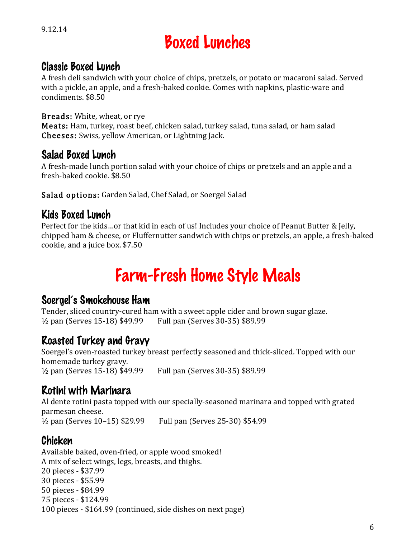# Boxed Lunches

#### Classic Boxed Lunch

A fresh deli sandwich with your choice of chips, pretzels, or potato or macaroni salad. Served with a pickle, an apple, and a fresh-baked cookie. Comes with napkins, plastic-ware and condiments. \$8.50

#### Breads: White, wheat, or rye

Meats: Ham, turkey, roast beef, chicken salad, turkey salad, tuna salad, or ham salad Cheeses: Swiss, yellow American, or Lightning Jack.

#### Salad Boxed Lunch

A fresh-made lunch portion salad with your choice of chips or pretzels and an apple and a fresh-baked cookie. \$8.50

Salad options: Garden Salad, Chef Salad, or Soergel Salad

#### Kids Boxed Lunch

Perfect for the kids…or that kid in each of us! Includes your choice of Peanut Butter & Jelly, chipped ham & cheese, or Fluffernutter sandwich with chips or pretzels, an apple, a fresh-baked cookie, and a juice box. \$7.50

# Farm-Fresh Home Style Meals

#### Soergel's Smokehouse Ham

Tender, sliced country-cured ham with a sweet apple cider and brown sugar glaze. ½ pan (Serves 15-18) \$49.99 Full pan (Serves 30-35) \$89.99

#### Roasted Turkey and Gravy

Soergel's oven-roasted turkey breast perfectly seasoned and thick-sliced. Topped with our homemade turkey gravy. ½ pan (Serves 15-18) \$49.99 Full pan (Serves 30-35) \$89.99

#### Rotini with Marinara

Al dente rotini pasta topped with our specially-seasoned marinara and topped with grated parmesan cheese.

½ pan (Serves 10–15) \$29.99 Full pan (Serves 25-30) \$54.99

### Chicken

Available baked, oven-fried, or apple wood smoked! A mix of select wings, legs, breasts, and thighs. 20 pieces - \$37.99 30 pieces - \$55.99 50 pieces - \$84.99 75 pieces - \$124.99 100 pieces - \$164.99 (continued, side dishes on next page)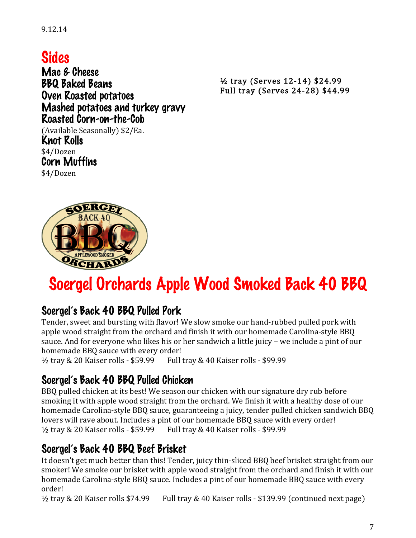9.12.14

# Sides

Mac & Cheese BBQ Baked Beans Oven Roasted potatoes Mashed potatoes and turkey gravy Roasted Corn-on-the-Cob (Available Seasonally) \$2/Ea. Knot Rolls \$4/Dozen Corn Muffins \$4/Dozen

½ tray (Serves 12-14) \$24.99 Full tray (Serves 24-28) \$44.99

# RGE BACK 40 **APPLEWOOD SMOKEL** ORCHARD

# Soergel Orchards Apple Wood Smoked Back 40 BBQ

#### Soergel's Back 40 BBQ Pulled Pork

Tender, sweet and bursting with flavor! We slow smoke our hand-rubbed pulled pork with apple wood straight from the orchard and finish it with our homemade Carolina-style BBQ sauce. And for everyone who likes his or her sandwich a little juicy – we include a pint of our homemade BBQ sauce with every order!

½ tray & 20 Kaiser rolls - \$59.99 Full tray & 40 Kaiser rolls - \$99.99

### Soergel's Back 40 BBQ Pulled Chicken

BBQ pulled chicken at its best! We season our chicken with our signature dry rub before smoking it with apple wood straight from the orchard. We finish it with a healthy dose of our homemade Carolina-style BBQ sauce, guaranteeing a juicy, tender pulled chicken sandwich BBQ lovers will rave about. Includes a pint of our homemade BBQ sauce with every order! ½ tray & 20 Kaiser rolls - \$59.99 Full tray & 40 Kaiser rolls - \$99.99

#### Soergel's Back 40 BBQ Beef Brisket

It doesn't get much better than this! Tender, juicy thin-sliced BBQ beef brisket straight from our smoker! We smoke our brisket with apple wood straight from the orchard and finish it with our homemade Carolina-style BBQ sauce. Includes a pint of our homemade BBQ sauce with every order!

 $\frac{1}{2}$  tray & 20 Kaiser rolls \$74.99 Full tray & 40 Kaiser rolls - \$139.99 (continued next page)

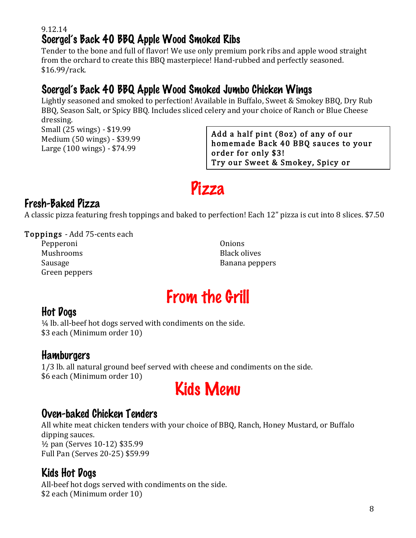#### 9.12.14 Soergel's Back 40 BBQ Apple Wood Smoked Ribs

Tender to the bone and full of flavor! We use only premium pork ribs and apple wood straight from the orchard to create this BBQ masterpiece! Hand-rubbed and perfectly seasoned. \$16.99/rack.

#### Soergel's Back 40 BBQ Apple Wood Smoked Jumbo Chicken Wings

Lightly seasoned and smoked to perfection! Available in Buffalo, Sweet & Smokey BBQ, Dry Rub BBQ, Season Salt, or Spicy BBQ. Includes sliced celery and your choice of Ranch or Blue Cheese dressing.

Small (25 wings) - \$19.99 Medium (50 wings) - \$39.99 Large (100 wings) - \$74.99

Add a half pint (8oz) of any of our homemade Back 40 BBQ sauces to your order for only \$3! Try our Sweet & Smokey, Spicy or

Carolina-style – they're all a perfect

# Pizza

#### Fresh-Baked Pizza

A classic pizza featuring fresh toppings and baked to perfection! Each 12" pizza is cut into 8 slices. \$7.50

#### Toppings - Add 75-cents each

Pepperoni Mushrooms Sausage Green peppers **Onions** Black olives Banana peppers

# From the Grill

#### Hot Dogs

¼ lb. all-beef hot dogs served with condiments on the side. \$3 each (Minimum order 10)

#### **Hamburgers**

1/3 lb. all natural ground beef served with cheese and condiments on the side. \$6 each (Minimum order 10)

# Kids Menu

#### Oven-baked Chicken Tenders

All white meat chicken tenders with your choice of BBQ, Ranch, Honey Mustard, or Buffalo dipping sauces. ½ pan (Serves 10-12) \$35.99 Full Pan (Serves 20-25) \$59.99

### Kids Hot Dogs

All-beef hot dogs served with condiments on the side. \$2 each (Minimum order 10)